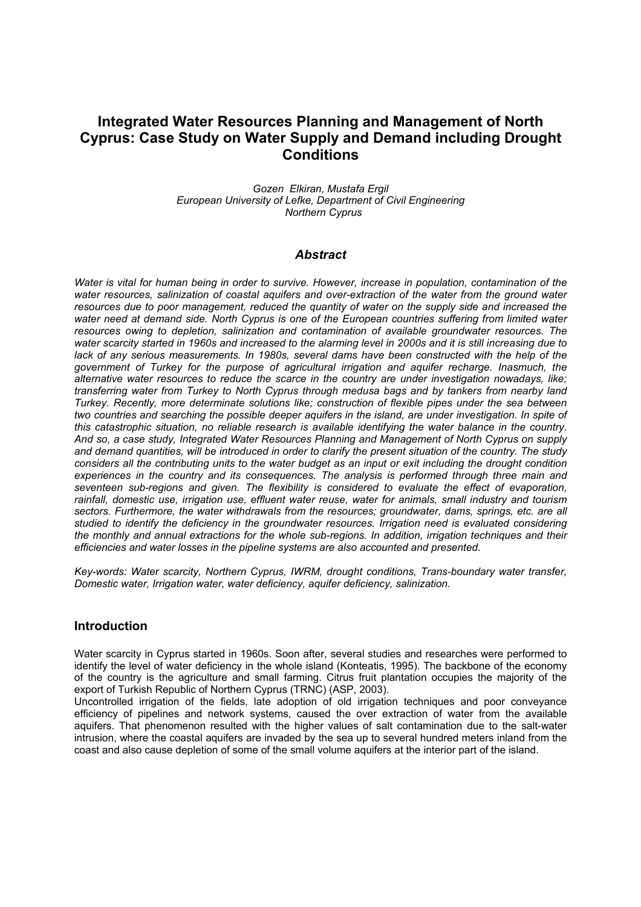# **Integrated Water Resources Planning and Management of North Cyprus: Case Study on Water Supply and Demand including Drought Conditions**

*Gozen Elkiran, Mustafa Ergil European University of Lefke, Department of Civil Engineering Northern Cyprus* 

#### *Abstract*

*Water is vital for human being in order to survive. However, increase in population, contamination of the water resources, salinization of coastal aquifers and over-extraction of the water from the ground water resources due to poor management, reduced the quantity of water on the supply side and increased the water need at demand side. North Cyprus is one of the European countries suffering from limited water resources owing to depletion, salinization and contamination of available groundwater resources. The water scarcity started in 1960s and increased to the alarming level in 2000s and it is still increasing due to*  lack of any serious measurements. In 1980s, several dams have been constructed with the help of the *government of Turkey for the purpose of agricultural irrigation and aquifer recharge. Inasmuch, the alternative water resources to reduce the scarce in the country are under investigation nowadays, like; transferring water from Turkey to North Cyprus through medusa bags and by tankers from nearby land Turkey. Recently, more determinate solutions like; construction of flexible pipes under the sea between two countries and searching the possible deeper aquifers in the island, are under investigation. In spite of this catastrophic situation, no reliable research is available identifying the water balance in the country. And so, a case study, Integrated Water Resources Planning and Management of North Cyprus on supply and demand quantities, will be introduced in order to clarify the present situation of the country. The study considers all the contributing units to the water budget as an input or exit including the drought condition experiences in the country and its consequences. The analysis is performed through three main and seventeen sub-regions and given. The flexibility is considered to evaluate the effect of evaporation, rainfall, domestic use, irrigation use, effluent water reuse, water for animals, small industry and tourism sectors. Furthermore, the water withdrawals from the resources; groundwater, dams, springs, etc. are all studied to identify the deficiency in the groundwater resources. Irrigation need is evaluated considering the monthly and annual extractions for the whole sub-regions. In addition, irrigation techniques and their efficiencies and water losses in the pipeline systems are also accounted and presented.* 

*Key-words: Water scarcity, Northern Cyprus, IWRM, drought conditions, Trans-boundary water transfer, Domestic water, Irrigation water, water deficiency, aquifer deficiency, salinization.* 

#### **Introduction**

Water scarcity in Cyprus started in 1960s. Soon after, several studies and researches were performed to identify the level of water deficiency in the whole island (Konteatis, 1995). The backbone of the economy of the country is the agriculture and small farming. Citrus fruit plantation occupies the majority of the export of Turkish Republic of Northern Cyprus (TRNC) (ASP, 2003).

Uncontrolled irrigation of the fields, late adoption of old irrigation techniques and poor conveyance efficiency of pipelines and network systems, caused the over extraction of water from the available aquifers. That phenomenon resulted with the higher values of salt contamination due to the salt-water intrusion, where the coastal aquifers are invaded by the sea up to several hundred meters inland from the coast and also cause depletion of some of the small volume aquifers at the interior part of the island.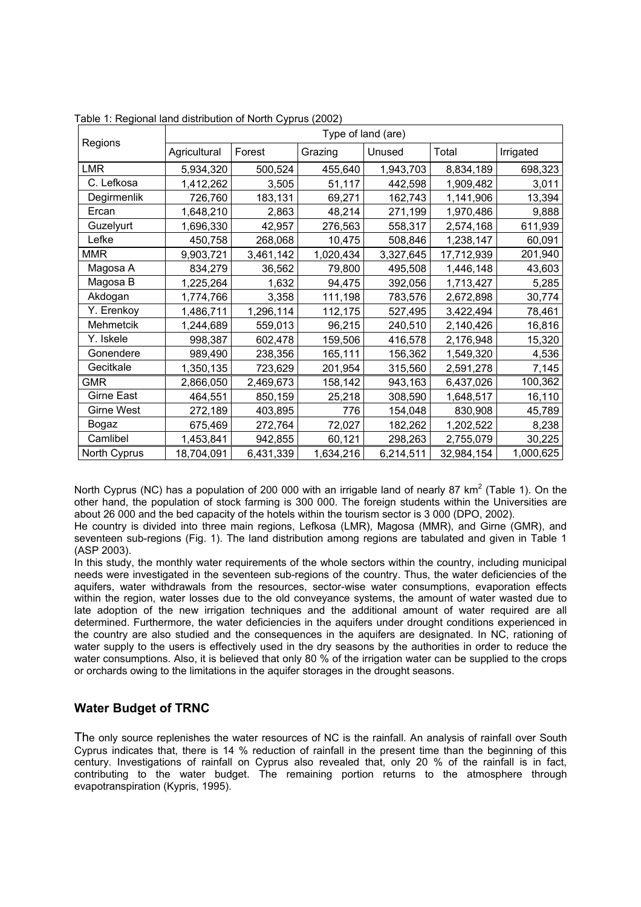|                   | Type of land (are) |           |           |           |            |           |  |  |  |  |  |  |
|-------------------|--------------------|-----------|-----------|-----------|------------|-----------|--|--|--|--|--|--|
| Regions           | Agricultural       | Forest    | Grazing   | Unused    | Total      | Irrigated |  |  |  |  |  |  |
| <b>LMR</b>        | 5,934,320          | 500,524   | 455,640   | 1,943,703 | 8,834,189  | 698,323   |  |  |  |  |  |  |
| C. Lefkosa        | 1,412,262          | 3,505     | 51,117    | 442,598   | 1,909,482  | 3,011     |  |  |  |  |  |  |
| Degirmenlik       | 726,760            | 183,131   | 69,271    | 162,743   | 1,141,906  | 13,394    |  |  |  |  |  |  |
| Ercan             | 1,648,210          | 2,863     | 48,214    | 271,199   | 1,970,486  | 9,888     |  |  |  |  |  |  |
| Guzelyurt         | 1,696,330          | 42,957    | 276,563   | 558,317   | 2,574,168  | 611,939   |  |  |  |  |  |  |
| Lefke             | 450,758            | 268,068   | 10,475    | 508,846   | 1,238,147  | 60,091    |  |  |  |  |  |  |
| <b>MMR</b>        | 9,903,721          | 3,461,142 | 1,020,434 | 3,327,645 | 17,712,939 | 201,940   |  |  |  |  |  |  |
| Magosa A          | 834,279            | 36,562    | 79,800    | 495,508   | 1,446,148  | 43,603    |  |  |  |  |  |  |
| Magosa B          | 1,225,264          | 1,632     | 94,475    | 392,056   | 1,713,427  | 5,285     |  |  |  |  |  |  |
| Akdogan           | 1,774,766          | 3,358     | 111,198   | 783,576   | 2,672,898  | 30,774    |  |  |  |  |  |  |
| Y. Erenkoy        | 1,486,711          | 1,296,114 | 112,175   | 527,495   | 3,422,494  | 78,461    |  |  |  |  |  |  |
| Mehmetcik         | 1,244,689          | 559,013   | 96,215    | 240,510   | 2,140,426  | 16,816    |  |  |  |  |  |  |
| Y. Iskele         | 998,387            | 602,478   | 159,506   | 416,578   | 2,176,948  | 15,320    |  |  |  |  |  |  |
| Gonendere         | 989,490            | 238,356   | 165,111   | 156,362   | 1,549,320  | 4,536     |  |  |  |  |  |  |
| Gecitkale         | 1,350,135          | 723,629   | 201,954   | 315,560   | 2,591,278  | 7,145     |  |  |  |  |  |  |
| <b>GMR</b>        | 2,866,050          | 2,469,673 | 158,142   | 943,163   | 6,437,026  | 100,362   |  |  |  |  |  |  |
| <b>Girne East</b> | 464,551            | 850,159   | 25,218    | 308,590   | 1,648,517  | 16,110    |  |  |  |  |  |  |
| <b>Girne West</b> | 272,189            | 403,895   | 776       | 154,048   | 830,908    | 45,789    |  |  |  |  |  |  |
| Bogaz             | 675,469            | 272,764   | 72,027    | 182,262   | 1,202,522  | 8,238     |  |  |  |  |  |  |
| Camlibel          | 1,453,841          | 942,855   | 60,121    | 298,263   | 2,755,079  | 30,225    |  |  |  |  |  |  |
| North Cyprus      | 18,704,091         | 6,431,339 | 1,634,216 | 6,214,511 | 32,984,154 | 1,000,625 |  |  |  |  |  |  |

Table 1: Regional land distribution of North Cyprus (2002)

North Cyprus (NC) has a population of 200 000 with an irrigable land of nearly 87 km<sup>2</sup> (Table 1). On the other hand, the population of stock farming is 300 000. The foreign students within the Universities are about 26 000 and the bed capacity of the hotels within the tourism sector is 3 000 (DPO, 2002).

He country is divided into three main regions, Lefkosa (LMR), Magosa (MMR), and Girne (GMR), and seventeen sub-regions (Fig. 1). The land distribution among regions are tabulated and given in Table 1 (ASP 2003).

In this study, the monthly water requirements of the whole sectors within the country, including municipal needs were investigated in the seventeen sub-regions of the country. Thus, the water deficiencies of the aquifers, water withdrawals from the resources, sector-wise water consumptions, evaporation effects within the region, water losses due to the old conveyance systems, the amount of water wasted due to late adoption of the new irrigation techniques and the additional amount of water required are all determined. Furthermore, the water deficiencies in the aquifers under drought conditions experienced in the country are also studied and the consequences in the aquifers are designated. In NC, rationing of water supply to the users is effectively used in the dry seasons by the authorities in order to reduce the water consumptions. Also, it is believed that only 80 % of the irrigation water can be supplied to the crops or orchards owing to the limitations in the aquifer storages in the drought seasons.

# **Water Budget of TRNC**

The only source replenishes the water resources of NC is the rainfall. An analysis of rainfall over South Cyprus indicates that, there is 14 % reduction of rainfall in the present time than the beginning of this century. Investigations of rainfall on Cyprus also revealed that, only 20 % of the rainfall is in fact, contributing to the water budget. The remaining portion returns to the atmosphere through evapotranspiration (Kypris, 1995).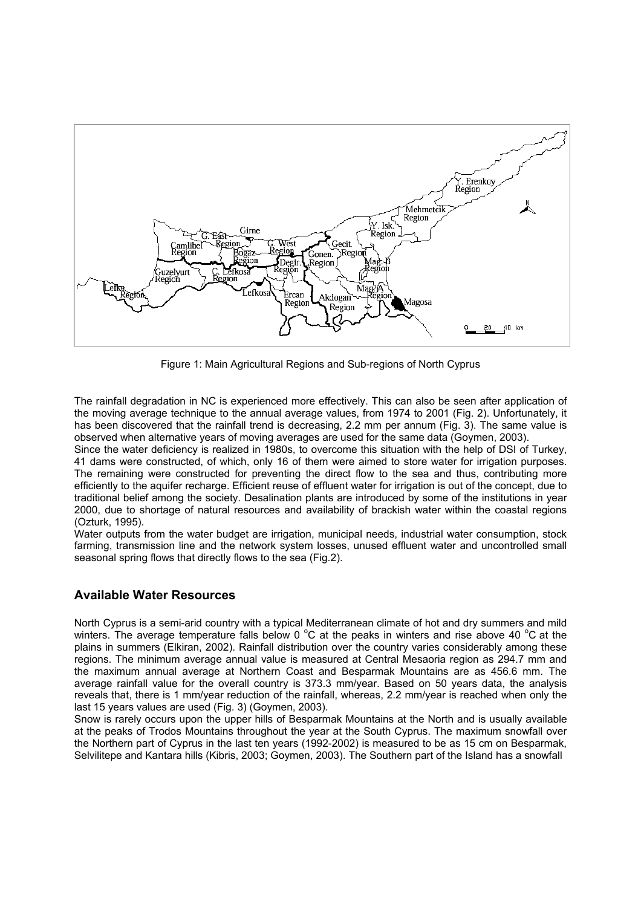

Figure 1: Main Agricultural Regions and Sub-regions of North Cyprus

The rainfall degradation in NC is experienced more effectively. This can also be seen after application of the moving average technique to the annual average values, from 1974 to 2001 (Fig. 2). Unfortunately, it has been discovered that the rainfall trend is decreasing, 2.2 mm per annum (Fig. 3). The same value is observed when alternative years of moving averages are used for the same data (Goymen, 2003).

Since the water deficiency is realized in 1980s, to overcome this situation with the help of DSI of Turkey, 41 dams were constructed, of which, only 16 of them were aimed to store water for irrigation purposes. The remaining were constructed for preventing the direct flow to the sea and thus, contributing more efficiently to the aquifer recharge. Efficient reuse of effluent water for irrigation is out of the concept, due to traditional belief among the society. Desalination plants are introduced by some of the institutions in year 2000, due to shortage of natural resources and availability of brackish water within the coastal regions (Ozturk, 1995).

Water outputs from the water budget are irrigation, municipal needs, industrial water consumption, stock farming, transmission line and the network system losses, unused effluent water and uncontrolled small seasonal spring flows that directly flows to the sea (Fig.2).

# **Available Water Resources**

North Cyprus is a semi-arid country with a typical Mediterranean climate of hot and dry summers and mild winters. The average temperature falls below 0  $^{\circ}$ C at the peaks in winters and rise above 40  $^{\circ}$ C at the plains in summers (Elkiran, 2002). Rainfall distribution over the country varies considerably among these regions. The minimum average annual value is measured at Central Mesaoria region as 294.7 mm and the maximum annual average at Northern Coast and Besparmak Mountains are as 456.6 mm. The average rainfall value for the overall country is 373.3 mm/year. Based on 50 years data, the analysis reveals that, there is 1 mm/year reduction of the rainfall, whereas, 2.2 mm/year is reached when only the last 15 years values are used (Fig. 3) (Goymen, 2003).

Snow is rarely occurs upon the upper hills of Besparmak Mountains at the North and is usually available at the peaks of Trodos Mountains throughout the year at the South Cyprus. The maximum snowfall over the Northern part of Cyprus in the last ten years (1992-2002) is measured to be as 15 cm on Besparmak, Selvilitepe and Kantara hills (Kibris, 2003; Goymen, 2003). The Southern part of the Island has a snowfall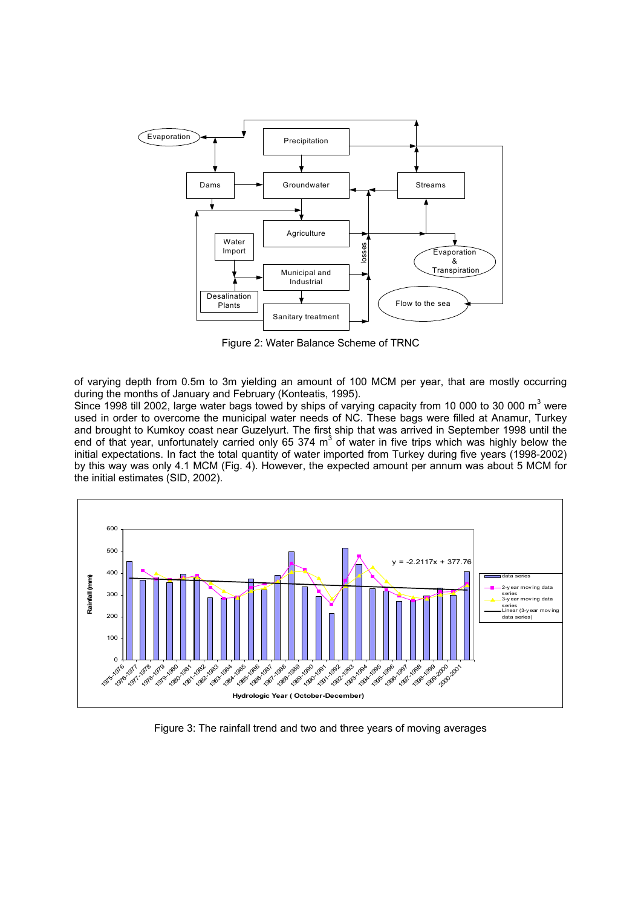

Figure 2: Water Balance Scheme of TRNC

of varying depth from 0.5m to 3m yielding an amount of 100 MCM per year, that are mostly occurring during the months of January and February (Konteatis, 1995).

Since 1998 till 2002, large water bags towed by ships of varying capacity from 10 000 to 30 000  $m^3$  were used in order to overcome the municipal water needs of NC. These bags were filled at Anamur, Turkey and brought to Kumkoy coast near Guzelyurt. The first ship that was arrived in September 1998 until the end of that year, unfortunately carried only 65 374  $m^3$  of water in five trips which was highly below the initial expectations. In fact the total quantity of water imported from Turkey during five years (1998-2002) by this way was only 4.1 MCM (Fig. 4). However, the expected amount per annum was about 5 MCM for the initial estimates (SID, 2002).



Figure 3: The rainfall trend and two and three years of moving averages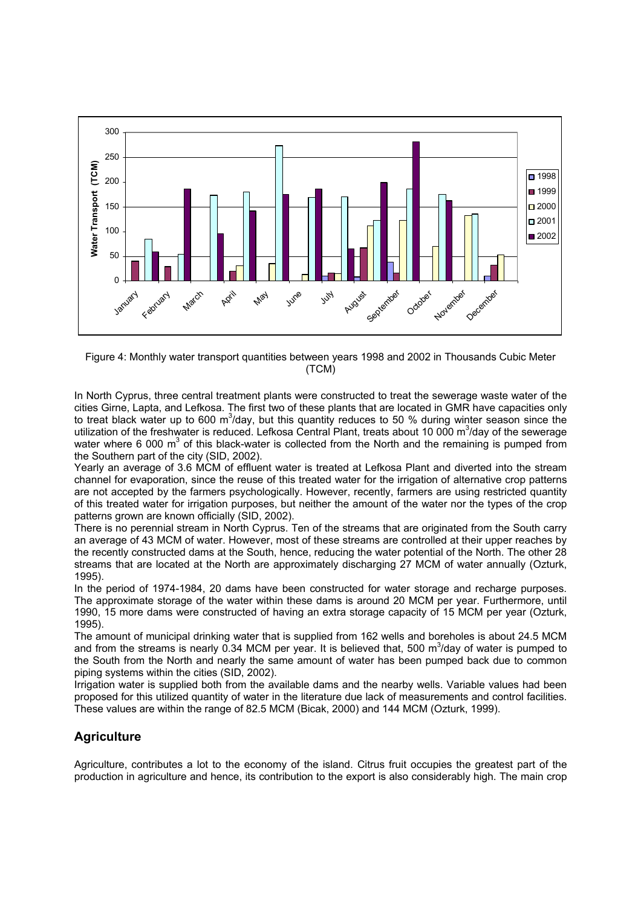

Figure 4: Monthly water transport quantities between years 1998 and 2002 in Thousands Cubic Meter (TCM)

In North Cyprus, three central treatment plants were constructed to treat the sewerage waste water of the cities Girne, Lapta, and Lefkosa. The first two of these plants that are located in GMR have capacities only to treat black water up to 600 m<sup>3</sup>/day, but this quantity reduces to 50 % during winter season since the utilization of the freshwater is reduced. Lefkosa Central Plant, treats about 10 000 m<sup>3</sup>/day of the sewerage water where 6 000 m<sup>3</sup> of this black-water is collected from the North and the remaining is pumped from the Southern part of the city (SID, 2002).

Yearly an average of 3.6 MCM of effluent water is treated at Lefkosa Plant and diverted into the stream channel for evaporation, since the reuse of this treated water for the irrigation of alternative crop patterns are not accepted by the farmers psychologically. However, recently, farmers are using restricted quantity of this treated water for irrigation purposes, but neither the amount of the water nor the types of the crop patterns grown are known officially (SID, 2002).

There is no perennial stream in North Cyprus. Ten of the streams that are originated from the South carry an average of 43 MCM of water. However, most of these streams are controlled at their upper reaches by the recently constructed dams at the South, hence, reducing the water potential of the North. The other 28 streams that are located at the North are approximately discharging 27 MCM of water annually (Ozturk, 1995).

In the period of 1974-1984, 20 dams have been constructed for water storage and recharge purposes. The approximate storage of the water within these dams is around 20 MCM per year. Furthermore, until 1990, 15 more dams were constructed of having an extra storage capacity of 15 MCM per year (Ozturk, 1995).

The amount of municipal drinking water that is supplied from 162 wells and boreholes is about 24.5 MCM and from the streams is nearly 0.34 MCM per year. It is believed that, 500 m<sup>3</sup>/day of water is pumped to the South from the North and nearly the same amount of water has been pumped back due to common piping systems within the cities (SID, 2002).

Irrigation water is supplied both from the available dams and the nearby wells. Variable values had been proposed for this utilized quantity of water in the literature due lack of measurements and control facilities. These values are within the range of 82.5 MCM (Bicak, 2000) and 144 MCM (Ozturk, 1999).

# **Agriculture**

Agriculture, contributes a lot to the economy of the island. Citrus fruit occupies the greatest part of the production in agriculture and hence, its contribution to the export is also considerably high. The main crop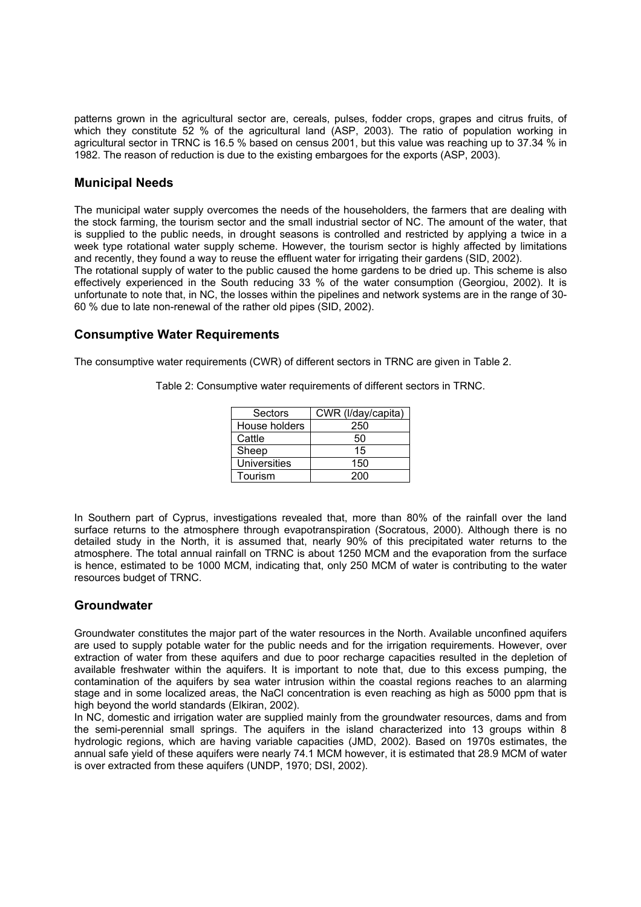patterns grown in the agricultural sector are, cereals, pulses, fodder crops, grapes and citrus fruits, of which they constitute 52 % of the agricultural land (ASP, 2003). The ratio of population working in agricultural sector in TRNC is 16.5 % based on census 2001, but this value was reaching up to 37.34 % in 1982. The reason of reduction is due to the existing embargoes for the exports (ASP, 2003).

#### **Municipal Needs**

The municipal water supply overcomes the needs of the householders, the farmers that are dealing with the stock farming, the tourism sector and the small industrial sector of NC. The amount of the water, that is supplied to the public needs, in drought seasons is controlled and restricted by applying a twice in a week type rotational water supply scheme. However, the tourism sector is highly affected by limitations and recently, they found a way to reuse the effluent water for irrigating their gardens (SID, 2002).

The rotational supply of water to the public caused the home gardens to be dried up. This scheme is also effectively experienced in the South reducing 33 % of the water consumption (Georgiou, 2002). It is unfortunate to note that, in NC, the losses within the pipelines and network systems are in the range of 30- 60 % due to late non-renewal of the rather old pipes (SID, 2002).

#### **Consumptive Water Requirements**

The consumptive water requirements (CWR) of different sectors in TRNC are given in Table 2.

| Sectors             | CWR (I/day/capita) |
|---------------------|--------------------|
| House holders       | 250                |
| Cattle              | 50                 |
| Sheep               | 15                 |
| <b>Universities</b> | 150                |
| Tourism             | 200                |

Table 2: Consumptive water requirements of different sectors in TRNC.

In Southern part of Cyprus, investigations revealed that, more than 80% of the rainfall over the land surface returns to the atmosphere through evapotranspiration (Socratous, 2000). Although there is no detailed study in the North, it is assumed that, nearly 90% of this precipitated water returns to the atmosphere. The total annual rainfall on TRNC is about 1250 MCM and the evaporation from the surface is hence, estimated to be 1000 MCM, indicating that, only 250 MCM of water is contributing to the water resources budget of TRNC.

# **Groundwater**

Groundwater constitutes the major part of the water resources in the North. Available unconfined aquifers are used to supply potable water for the public needs and for the irrigation requirements. However, over extraction of water from these aquifers and due to poor recharge capacities resulted in the depletion of available freshwater within the aquifers. It is important to note that, due to this excess pumping, the contamination of the aquifers by sea water intrusion within the coastal regions reaches to an alarming stage and in some localized areas, the NaCl concentration is even reaching as high as 5000 ppm that is high beyond the world standards (Elkiran, 2002).

In NC, domestic and irrigation water are supplied mainly from the groundwater resources, dams and from the semi-perennial small springs. The aquifers in the island characterized into 13 groups within 8 hydrologic regions, which are having variable capacities (JMD, 2002). Based on 1970s estimates, the annual safe yield of these aquifers were nearly 74.1 MCM however, it is estimated that 28.9 MCM of water is over extracted from these aquifers (UNDP, 1970; DSI, 2002).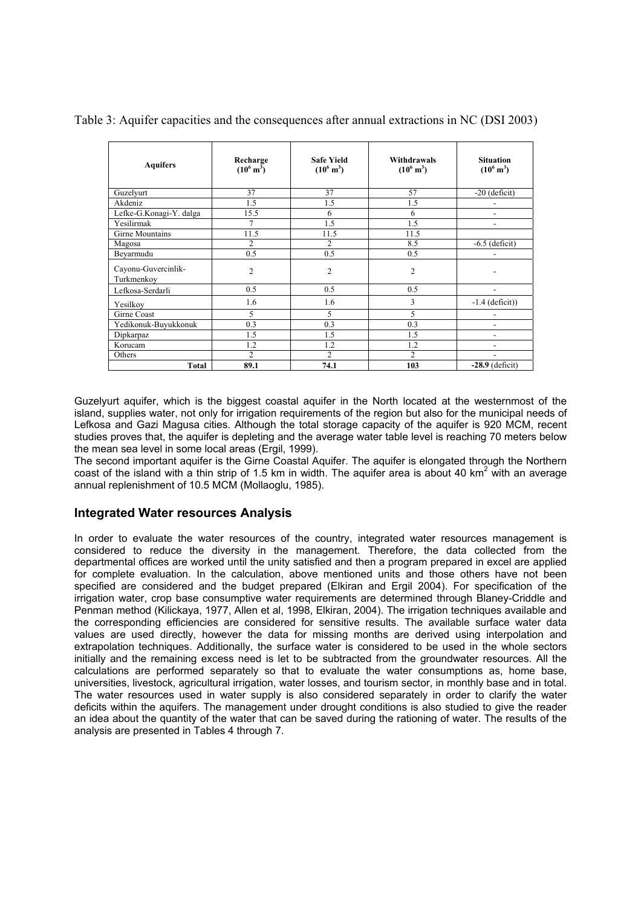| <b>Aquifers</b>                   | Recharge<br>$(10^6 \text{ m}^3)$ | <b>Safe Yield</b><br>$(10^6 \text{ m}^3)$ | Withdrawals<br>$(10^6 \text{ m}^3)$ | <b>Situation</b><br>$(10^6 \text{ m}^3)$ |
|-----------------------------------|----------------------------------|-------------------------------------------|-------------------------------------|------------------------------------------|
| Guzelyurt                         | 37                               | 37                                        | 57                                  | $-20$ (deficit)                          |
| Akdeniz                           | 1.5                              | 1.5                                       | 1.5                                 |                                          |
| Lefke-G.Konagi-Y. dalga           | 15.5                             | 6                                         | 6                                   |                                          |
| Yesilirmak                        | 7                                | 1.5                                       | 1.5                                 | $\overline{\phantom{0}}$                 |
| Girne Mountains                   | 11.5                             | 11.5                                      | 11.5                                |                                          |
| Magosa                            | 2                                | 2                                         | 8.5                                 | $-6.5$ (deficit)                         |
| Beyarmudu                         | 0.5                              | 0.5                                       | 0.5                                 |                                          |
| Cayonu-Guvercinlik-<br>Turkmenkov | $\overline{c}$                   | $\overline{c}$                            | $\overline{c}$                      |                                          |
| Lefkosa-Serdarli                  | 0.5                              | 0.5                                       | 0.5                                 |                                          |
| Yesilkov                          | 1.6                              | 1.6                                       | 3                                   | $-1.4$ (deficit))                        |
| Girne Coast                       | 5                                | 5                                         | 5                                   |                                          |
| Yedikonuk-Buyukkonuk              | 0.3                              | 0.3                                       | 0.3                                 | ۰                                        |
| Dipkarpaz                         | 1.5                              | 1.5                                       | 1.5                                 | ٠                                        |
| Korucam                           | 1.2                              | 1.2                                       | 1.2                                 |                                          |
| Others                            | $\overline{c}$                   | $\overline{c}$                            | $\overline{c}$                      |                                          |
| <b>Total</b>                      | 89.1                             | 74.1                                      | 103                                 | $-28.9$ (deficit)                        |

Table 3: Aquifer capacities and the consequences after annual extractions in NC (DSI 2003)

Guzelyurt aquifer, which is the biggest coastal aquifer in the North located at the westernmost of the island, supplies water, not only for irrigation requirements of the region but also for the municipal needs of Lefkosa and Gazi Magusa cities. Although the total storage capacity of the aquifer is 920 MCM, recent studies proves that, the aquifer is depleting and the average water table level is reaching 70 meters below the mean sea level in some local areas (Ergil, 1999).

The second important aquifer is the Girne Coastal Aquifer. The aquifer is elongated through the Northern coast of the island with a thin strip of 1.5 km in width. The aquifer area is about 40 km<sup>2</sup> with an average annual replenishment of 10.5 MCM (Mollaoglu, 1985).

#### **Integrated Water resources Analysis**

In order to evaluate the water resources of the country, integrated water resources management is considered to reduce the diversity in the management. Therefore, the data collected from the departmental offices are worked until the unity satisfied and then a program prepared in excel are applied for complete evaluation. In the calculation, above mentioned units and those others have not been specified are considered and the budget prepared (Elkiran and Ergil 2004). For specification of the irrigation water, crop base consumptive water requirements are determined through Blaney-Criddle and Penman method (Kilickaya, 1977, Allen et al, 1998, Elkiran, 2004). The irrigation techniques available and the corresponding efficiencies are considered for sensitive results. The available surface water data values are used directly, however the data for missing months are derived using interpolation and extrapolation techniques. Additionally, the surface water is considered to be used in the whole sectors initially and the remaining excess need is let to be subtracted from the groundwater resources. All the calculations are performed separately so that to evaluate the water consumptions as, home base, universities, livestock, agricultural irrigation, water losses, and tourism sector, in monthly base and in total. The water resources used in water supply is also considered separately in order to clarify the water deficits within the aquifers. The management under drought conditions is also studied to give the reader an idea about the quantity of the water that can be saved during the rationing of water. The results of the analysis are presented in Tables 4 through 7.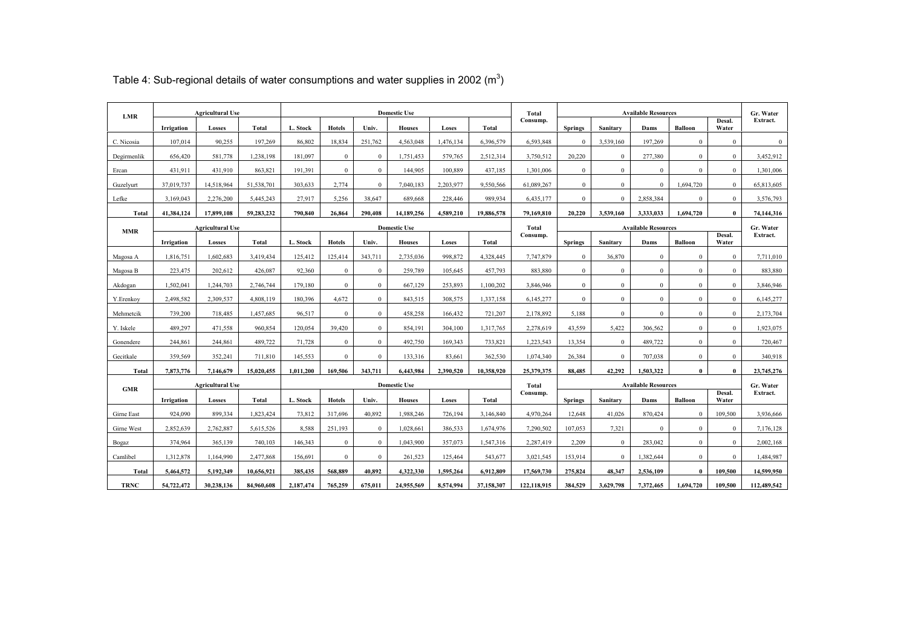| <b>LMR</b>  |            | <b>Agricultural Use</b> |            |           |               |                | <b>Domestic Use</b> |           |              | Total       | <b>Available Resources</b> |              |                            |                | Gr. Water       |              |  |
|-------------|------------|-------------------------|------------|-----------|---------------|----------------|---------------------|-----------|--------------|-------------|----------------------------|--------------|----------------------------|----------------|-----------------|--------------|--|
|             | Irrigation | Losses                  | Total      | L. Stock  | <b>Hotels</b> | Univ.          | <b>Houses</b>       | Loses     | <b>Total</b> | Consump.    | <b>Springs</b>             | Sanitary     | Dams                       | <b>Balloon</b> | Desal.<br>Water | Extract.     |  |
| C. Nicosia  | 107.014    | 90,255                  | 197,269    | 86.802    | 18,834        | 251,762        | 4.563.048           | 1,476,134 | 6,396,579    | 6,593,848   | $\overline{0}$             | 3,539,160    | 197,269                    | $\theta$       | $\theta$        | $\mathbf{0}$ |  |
| Degirmenlik | 656,420    | 581,778                 | 1,238,198  | 181,097   | $\mathbf{0}$  | $\mathbf{0}$   | 1,751,453           | 579,765   | 2,512,314    | 3,750,512   | 20,220                     | $\mathbf{0}$ | 277,380                    | $\mathbf{0}$   | $\mathbf{0}$    | 3,452,912    |  |
| Ercan       | 431,911    | 431,910                 | 863,821    | 191,391   | $\mathbf{0}$  | $\mathbf{0}$   | 144,905             | 100,889   | 437,185      | 1,301,006   | $\overline{0}$             | $\theta$     | $\theta$                   | $\theta$       | $\Omega$        | 1,301,006    |  |
| Guzelyurt   | 37,019,737 | 14,518,964              | 51,538,701 | 303,633   | 2,774         | $\overline{0}$ | 7,040,183           | 2,203,977 | 9,550,566    | 61,089,267  | $\overline{0}$             | $\theta$     | $\Omega$                   | 1,694,720      | $\Omega$        | 65,813,605   |  |
| Lefke       | 3.169.043  | 2,276,200               | 5,445,243  | 27,917    | 5,256         | 38.647         | 689,668             | 228,446   | 989,934      | 6,435,177   | $\overline{0}$             | $\mathbf{0}$ | 2,858,384                  | $\mathbf{0}$   | $\mathbf{0}$    | 3,576,793    |  |
| Total       | 41,384,124 | 17,899,108              | 59,283,232 | 790,840   | 26,864        | 290,408        | 14,189,256          | 4,589,210 | 19,886,578   | 79,169,810  | 20,220                     | 3.539.160    | 3,333,033                  | 1,694,720      | $\mathbf{0}$    | 74,144,316   |  |
| <b>MMR</b>  |            | <b>Agricultural Use</b> |            |           |               |                | <b>Domestic Use</b> |           |              | Total       |                            |              | <b>Available Resources</b> |                |                 | Gr. Water    |  |
|             | Irrigation | Losses                  | Total      | L. Stock  | <b>Hotels</b> | Univ.          | <b>Houses</b>       | Loses     | <b>Total</b> | Consump.    | <b>Springs</b>             | Sanitary     | Dams                       | <b>Balloon</b> | Desal.<br>Water | Extract.     |  |
| Magosa A    | ,816,751   | 1,602,683               | 3,419,434  | 125,412   | 125,414       | 343,711        | 2,735,036           | 998,872   | 4,328,445    | 7,747,879   | $\overline{0}$             | 36,870       | $\mathbf{0}$               | $\Omega$       | $\mathbf{0}$    | 7,711,010    |  |
| Magosa B    | 223,475    | 202,612                 | 426,087    | 92.360    | $\mathbf{0}$  | $\mathbf{0}$   | 259,789             | 105,645   | 457,793      | 883.880     | $\overline{0}$             | $\mathbf{0}$ | $\overline{0}$             | $\mathbf{0}$   | $\overline{0}$  | 883,880      |  |
| Akdogan     | .502,041   | 1,244,703               | 2,746,744  | 179,180   | $\mathbf{0}$  | $\mathbf{0}$   | 667,129             | 253,893   | 1,100,202    | 3,846,946   | $\overline{0}$             | $\mathbf{0}$ | $\mathbf{0}$               | $\mathbf{0}$   | $\Omega$        | 3,846,946    |  |
| Y.Erenkoy   | 2.498.582  | 2,309,537               | 4,808,119  | 180.396   | 4.672         | $\overline{0}$ | 843,515             | 308,575   | 1,337,158    | 6,145,277   | $\mathbf{0}$               | $\mathbf{0}$ | $\mathbf{0}$               | $\mathbf{0}$   | $\mathbf{0}$    | 6,145,277    |  |
| Mehmetcik   | 739,200    | 718,485                 | 1,457,685  | 96,517    | $\mathbf{0}$  | $\overline{0}$ | 458,258             | 166,432   | 721,207      | 2,178,892   | 5,188                      | $\mathbf{0}$ | $\mathbf{0}$               | $\mathbf{0}$   | $\overline{0}$  | 2,173,704    |  |
| Y. Iskele   | 489,297    | 471,558                 | 960.854    | 120.054   | 39.420        | $\overline{0}$ | 854.191             | 304,100   | 1,317,765    | 2,278,619   | 43,559                     | 5,422        | 306,562                    | $\Omega$       | $\Omega$        | 1,923,075    |  |
| Gonendere   | 244,861    | 244,861                 | 489,722    | 71,728    | $\bf{0}$      | $\overline{0}$ | 492,750             | 169,343   | 733,821      | 1,223,543   | 13,354                     | $\mathbf{0}$ | 489,722                    | $\mathbf{0}$   | $\mathbf{0}$    | 720,467      |  |
| Gecitkale   | 359,569    | 352,241                 | 711,810    | 145,553   | $\mathbf{0}$  | $\mathbf{0}$   | 133,316             | 83,661    | 362,530      | 1,074,340   | 26.384                     | $\mathbf{0}$ | 707.038                    | $\mathbf{0}$   | $\mathbf{0}$    | 340,918      |  |
| Total       | 7,873,776  | 7,146,679               | 15,020,455 | 1,011,200 | 169,506       | 343,711        | 6,443,984           | 2,390,520 | 10,358,920   | 25,379,375  | 88,485                     | 42,292       | 1,503,322                  | $\bf{0}$       | $\mathbf{0}$    | 23,745,276   |  |
| <b>GMR</b>  |            | <b>Agricultural Use</b> |            |           |               |                | <b>Domestic Use</b> |           |              | Total       |                            |              | <b>Available Resources</b> |                |                 | Gr. Water    |  |
|             | Irrigation | Losses                  | Total      | L. Stock  | <b>Hotels</b> | Univ.          | <b>Houses</b>       | Loses     | Total        | Consump.    | <b>Springs</b>             | Sanitary     | Dams                       | <b>Balloon</b> | Desal.<br>Water | Extract.     |  |
| Girne East  | 924,090    | 899,334                 | 1,823,424  | 73,812    | 317,696       | 40,892         | 1,988,246           | 726,194   | 3,146,840    | 4,970,264   | 12,648                     | 41,026       | 870,424                    | $\theta$       | 109,500         | 3,936,666    |  |
| Girne West  | 2.852.639  | 2,762,887               | 5,615,526  | 8,588     | 251,193       | $\mathbf{0}$   | 1,028,661           | 386.533   | 1,674,976    | 7,290,502   | 107,053                    | 7,321        | $\overline{0}$             | $\mathbf{0}$   | $\overline{0}$  | 7,176,128    |  |
| Bogaz       | 374,964    | 365,139                 | 740,103    | 146,343   | $\bf{0}$      | $\mathbf{0}$   | 1.043.900           | 357,073   | 1,547,316    | 2.287.419   | 2.209                      | $\mathbf{0}$ | 283,042                    | $\Omega$       | $\mathbf{0}$    | 2,002,168    |  |
| Camlibel    | 1,312,878  | 1,164,990               | 2,477,868  | 156,691   | $\mathbf{0}$  | $\mathbf{0}$   | 261,523             | 125,464   | 543,677      | 3,021,545   | 153,914                    | $\theta$     | 1,382,644                  | $\mathbf{0}$   | $\overline{0}$  | 1,484,987    |  |
| Total       | 5,464,572  | 5,192,349               | 10,656,921 | 385,435   | 568,889       | 40.892         | 4.322.330           | 1,595,264 | 6,912,809    | 17,569,730  | 275,824                    | 48,347       | 2,536,109                  | $\mathbf{0}$   | 109,500         | 14,599,950   |  |
| <b>TRNC</b> | 54,722,472 | 30,238,136              | 84,960,608 | 2,187,474 | 765,259       | 675,011        | 24,955,569          | 8,574,994 | 37,158,307   | 122,118,915 | 384,529                    | 3,629,798    | 7,372,465                  | 1,694,720      | 109,500         | 112,489,542  |  |

Table 4: Sub-regional details of water consumptions and water supplies in 2002  $(m^3)$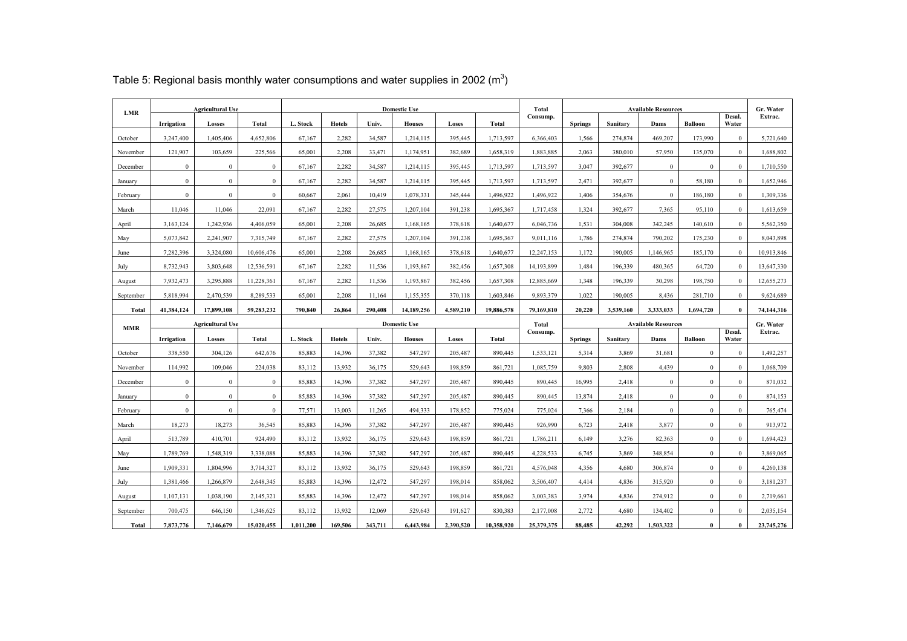| <b>LMR</b> |              | <b>Agricultural Use</b> |              | <b>Domestic Use</b> |               |         |                     |           | Total      |            |                            | <b>Available Resources</b> |              |                | Gr. Water       |            |
|------------|--------------|-------------------------|--------------|---------------------|---------------|---------|---------------------|-----------|------------|------------|----------------------------|----------------------------|--------------|----------------|-----------------|------------|
|            | Irrigation   | Losses                  | Total        | L. Stock            | <b>Hotels</b> | Univ.   | <b>Houses</b>       | Loses     | Total      | Consump.   | <b>Springs</b>             | Sanitary                   | Dams         | <b>Balloon</b> | Desal.<br>Water | Extrac.    |
| October    | 3,247,400    | 1,405,406               | 4,652,806    | 67,167              | 2,282         | 34,587  | 1,214,115           | 395,445   | 1,713,597  | 6,366,403  | 1,566                      | 274,874                    | 469,207      | 173,990        | $\overline{0}$  | 5,721,640  |
| November   | 121,907      | 103,659                 | 225,566      | 65,001              | 2,208         | 33,471  | 1,174,951           | 382,689   | 1,658,319  | 1,883,885  | 2,063                      | 380,010                    | 57,950       | 135,070        | $\Omega$        | 1,688,802  |
| December   | $\mathbf{0}$ | $\mathbf{0}$            | $\mathbf{0}$ | 67,167              | 2,282         | 34,587  | 1,214,115           | 395,445   | 1,713,597  | 1,713,597  | 3,047                      | 392,677                    | $\mathbf{0}$ | $\mathbf{0}$   | $\overline{0}$  | 1,710,550  |
| January    | $\bf{0}$     | $\bf{0}$                | $\mathbf{0}$ | 67,167              | 2,282         | 34,587  | 1,214,115           | 395,445   | 1,713,597  | 1,713,597  | 2,471                      | 392,677                    | $\mathbf{0}$ | 58,180         | $\mathbf{0}$    | 1,652,946  |
| February   | $\mathbf{0}$ | $\mathbf{0}$            | $\mathbf{0}$ | 60,667              | 2,061         | 10,419  | 1,078,331           | 345,444   | 1,496,922  | 1,496,922  | 1,406                      | 354,676                    | $\mathbf{0}$ | 186,180        | $\overline{0}$  | 1,309,336  |
| March      | 11,046       | 11,046                  | 22,091       | 67,167              | 2,282         | 27,575  | 1,207,104           | 391,238   | 1,695,367  | 1,717,458  | 1,324                      | 392,677                    | 7,365        | 95,110         | $\mathbf{0}$    | 1,613,659  |
| April      | 3,163,124    | 1,242,936               | 4,406,059    | 65,001              | 2,208         | 26,685  | 1,168,165           | 378,618   | 1,640,677  | 6,046,736  | 1,531                      | 304,008                    | 342,245      | 140,610        | $\mathbf{0}$    | 5,562,350  |
| May        | 5,073,842    | 2,241,907               | 7,315,749    | 67,167              | 2,282         | 27,575  | 1,207,104           | 391,238   | 1,695,367  | 9,011,116  | 1,786                      | 274,874                    | 790,202      | 175,230        | $\mathbf{0}$    | 8,043,898  |
| June       | 7.282.396    | 3,324,080               | 10,606,476   | 65,001              | 2.208         | 26.685  | 1,168,165           | 378,618   | 1,640,677  | 12.247.153 | 1,172                      | 190,005                    | 1,146,965    | 185,170        | $\overline{0}$  | 10,913,846 |
| July       | 8,732,943    | 3,803,648               | 12,536,591   | 67,167              | 2.282         | 11,536  | 1,193,867           | 382,456   | 1,657,308  | 14,193,899 | 1,484                      | 196,339                    | 480.365      | 64,720         | $\mathbf{0}$    | 13,647,330 |
| August     | 7,932,473    | 3,295,888               | 11,228,361   | 67,167              | 2,282         | 11,536  | 1,193,867           | 382,456   | 1,657,308  | 12,885,669 | 1,348                      | 196,339                    | 30,298       | 198,750        | $\bf{0}$        | 12,655,273 |
| September  | 5,818,994    | 2,470,539               | 8,289,533    | 65,001              | 2,208         | 11,164  | 1,155,355           | 370,118   | 1,603,846  | 9.893.379  | 1.022                      | 190.005                    | 8,436        | 281,710        | $\Omega$        | 9,624,689  |
| Total      | 41.384.124   | 17,899,108              | 59,283,232   | 790.840             | 26,864        | 290.408 | 14,189,256          | 4,589,210 | 19,886,578 | 79,169,810 | 20,220                     | 3.539.160                  | 3.333.033    | 1,694,720      | $\mathbf{0}$    | 74,144,316 |
|            |              |                         |              |                     |               |         |                     |           |            |            | <b>Available Resources</b> |                            |              |                | Gr. Water       |            |
|            |              | <b>Agricultural Use</b> |              |                     |               |         | <b>Domestic Use</b> |           |            | Total      |                            |                            |              |                |                 |            |
| <b>MMR</b> | Irrigation   | Losses                  | <b>Total</b> | L. Stock            | <b>Hotels</b> | Univ.   | <b>Houses</b>       | Loses     | Total      | Consump.   | <b>Springs</b>             | Sanitary                   | Dams         | <b>Balloon</b> | Desal.<br>Water | Extrac.    |
| October    | 338,550      | 304,126                 | 642,676      | 85,883              | 14,396        | 37,382  | 547,297             | 205,487   | 890.445    | 1,533,121  | 5,314                      | 3,869                      | 31.681       | $\mathbf{0}$   | $\mathbf{0}$    | 1,492,257  |
| November   | 114,992      | 109,046                 | 224,038      | 83,112              | 13,932        | 36,175  | 529,643             | 198,859   | 861,721    | 1,085,759  | 9,803                      | 2,808                      | 4,439        | $\bf{0}$       | $\mathbf{0}$    | 1,068,709  |
| December   | $\mathbf{0}$ | $\mathbf{0}$            | $\mathbf{0}$ | 85.883              | 14.396        | 37,382  | 547.297             | 205,487   | 890.445    | 890.445    | 16,995                     | 2.418                      | $\mathbf{0}$ | $\mathbf{0}$   | $\Omega$        | 871,032    |
| January    | $\bf{0}$     | $\bf{0}$                | $\mathbf{0}$ | 85.883              | 14,396        | 37,382  | 547,297             | 205,487   | 890,445    | 890,445    | 13,874                     | 2,418                      | $\mathbf{0}$ | $\mathbf{0}$   | $\overline{0}$  | 874,153    |
| February   | $\mathbf{0}$ | $\bf 0$                 | $\mathbf{0}$ | 77,571              | 13,003        | 11,265  | 494,333             | 178,852   | 775,024    | 775,024    | 7,366                      | 2,184                      | $\mathbf{0}$ | $\mathbf{0}$   | $\mathbf{0}$    | 765,474    |
| March      | 18,273       | 18,273                  | 36,545       | 85.883              | 14.396        | 37,382  | 547.297             | 205,487   | 890.445    | 926.990    | 6,723                      | 2,418                      | 3,877        | $\mathbf{0}$   | $\overline{0}$  | 913,972    |
| April      | 513,789      | 410,701                 | 924,490      | 83,112              | 13.932        | 36,175  | 529,643             | 198,859   | 861,721    | 1,786,211  | 6,149                      | 3,276                      | 82.363       | $\mathbf{0}$   | $\Omega$        | 1,694,423  |
| May        | 1,789,769    | 1,548,319               | 3,338,088    | 85,883              | 14,396        | 37,382  | 547,297             | 205,487   | 890,445    | 4,228,533  | 6,745                      | 3,869                      | 348,854      | $\mathbf{0}$   | $\mathbf{0}$    | 3,869,065  |
| June       | 1.909.331    | 1.804.996               | 3,714,327    | 83.112              | 13.932        | 36.175  | 529.643             | 198.859   | 861.721    | 4.576.048  | 4.356                      | 4.680                      | 306.874      | $\mathbf{0}$   | $\mathbf{0}$    | 4,260,138  |
| July       | 1,381,466    | 1,266,879               | 2,648,345    | 85.883              | 14.396        | 12.472  | 547.297             | 198,014   | 858.062    | 3.506.407  | 4,414                      | 4,836                      | 315.920      | $\mathbf{0}$   | $\mathbf{0}$    | 3,181,237  |
| August     | 1,107,131    | 1,038,190               | 2,145,321    | 85,883              | 14,396        | 12,472  | 547,297             | 198,014   | 858,062    | 3,003,383  | 3,974                      | 4,836                      | 274,912      | $\mathbf{0}$   | $\Omega$        | 2,719,661  |
| September  | 700,475      | 646,150                 | 1,346,625    | 83,112              | 13,932        | 12,069  | 529,643             | 191,627   | 830,383    | 2,177,008  | 2,772                      | 4,680                      | 134,402      | $\bf{0}$       | $\mathbf{0}$    | 2,035,154  |

Table 5: Regional basis monthly water consumptions and water supplies in 2002 ( $m^3$ )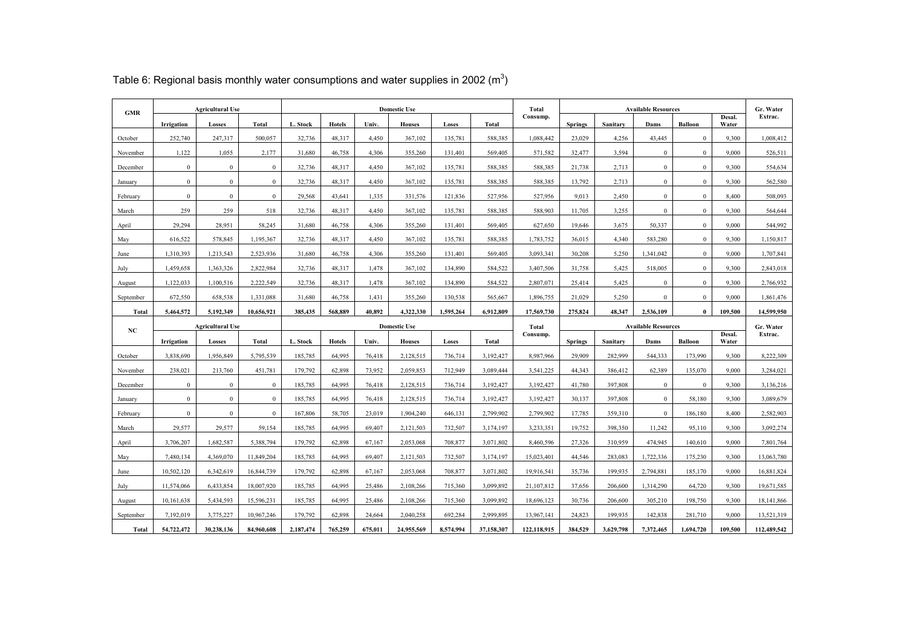|           | <b>Agricultural Use</b><br>GMR |                         |                |          | <b>Domestic Use</b> |        |                              |           |              | Total      | <b>Available Resources</b> |          |                |                |                 | Gr. Water    |
|-----------|--------------------------------|-------------------------|----------------|----------|---------------------|--------|------------------------------|-----------|--------------|------------|----------------------------|----------|----------------|----------------|-----------------|--------------|
|           | Irrigation                     | Losses                  | <b>Total</b>   | L. Stock | <b>Hotels</b>       | Univ.  | <b>Houses</b>                | Loses     | Total        | Consump.   | <b>Springs</b>             | Sanitary | Dams           | <b>Balloon</b> | Desal.<br>Water | Extrac.      |
| October   | 252,740                        | 247,317                 | 500,057        | 32,736   | 48,317              | 4,450  | 367,102                      | 135,781   | 588,385      | 1,088,442  | 23,029                     | 4,256    | 43,445         | $\mathbf{0}$   | 9,300           | 1,008,412    |
| November  | 1,122                          | 1,055                   | 2,177          | 31,680   | 46,758              | 4,306  | 355,260                      | 131,401   | 569,405      | 571,582    | 32,477                     | 3,594    | $\mathbf{0}$   | $\mathbf{0}$   | 9,000           | 526,511      |
| December  | $\mathbf{0}$                   | $\overline{0}$          | $\mathbf{0}$   | 32,736   | 48.317              | 4,450  | 367,102                      | 135.781   | 588,385      | 588.385    | 21,738                     | 2,713    | $\mathbf{0}$   | $\mathbf{0}$   | 9.300           | 554,634      |
| January   | $\mathbf{0}$                   | $\mathbf{0}$            | $\bf{0}$       | 32,736   | 48,317              | 4,450  | 367,102                      | 135.781   | 588,385      | 588,385    | 13.792                     | 2,713    | $\mathbf{0}$   | $\mathbf{0}$   | 9.300           | 562,580      |
| February  | $\mathbf{0}$                   | $\mathbf{0}$            | $\mathbf{0}$   | 29,568   | 43,641              | 1,335  | 331,576                      | 121,836   | 527,956      | 527,956    | 9,013                      | 2,450    | $\mathbf{0}$   | $\bf{0}$       | 8,400           | 508,093      |
| March     | 259                            | 259                     | 518            | 32,736   | 48,317              | 4,450  | 367,102                      | 135.781   | 588,385      | 588.903    | 11.705                     | 3,255    | $\mathbf{0}$   | $\mathbf{0}$   | 9.300           | 564,644      |
| April     | 29.294                         | 28,951                  | 58,245         | 31,680   | 46,758              | 4,306  | 355,260                      | 131,401   | 569,405      | 627,650    | 19.646                     | 3,675    | 50.337         | $\mathbf{0}$   | 9,000           | 544,992      |
| May       | 616,522                        | 578,845                 | 1,195,367      | 32,736   | 48,317              | 4,450  | 367,102                      | 135,781   | 588,385      | 1,783,752  | 36,015                     | 4,340    | 583,280        | $\bf{0}$       | 9,300           | 1,150,817    |
| June      | 1.310.393                      | 1,213,543               | 2.523.936      | 31,680   | 46,758              | 4,306  | 355,260                      | 131.401   | 569,405      | 3,093,341  | 30.208                     | 5,250    | 1,341,042      | $\mathbf{0}$   | 9,000           | 1,707,841    |
| July      | 1,459,658                      | 1,363,326               | 2.822.984      | 32,736   | 48,317              | 1,478  | 367,102                      | 134,890   | 584,522      | 3,407,506  | 31,758                     | 5,425    | 518,005        | $\mathbf{0}$   | 9.300           | 2,843,018    |
| August    | 1,122,033                      | 1,100,516               | 2,222,549      | 32,736   | 48,317              | 1,478  | 367,102                      | 134,890   | 584,522      | 2,807,071  | 25,414                     | 5,425    | $\mathbf{0}$   | $\mathbf{0}$   | 9,300           | 2,766,932    |
| September | 672,550                        | 658,538                 | 1,331,088      | 31,680   | 46,758              | 1,431  | 355,260                      | 130,538   | 565,667      | 1,896,755  | 21,029                     | 5,250    | $\overline{0}$ | $\mathbf{0}$   | 9,000           | 1,861,476    |
| Total     | 5.464,572                      | 5.192.349               | 10,656,921     | 385,435  | 568,889             | 40.892 | 4.322.330                    | 1.595.264 | 6,912,809    | 17,569,730 | 275.824                    | 48.347   | 2,536,109      | $\mathbf{0}$   | 109.500         | 14,599,950   |
|           |                                |                         |                |          |                     |        | <b>Domestic Use</b><br>Total |           |              |            | <b>Available Resources</b> |          |                |                |                 |              |
|           |                                | <b>Agricultural Use</b> |                |          |                     |        |                              |           |              |            |                            |          |                |                |                 | Gr. Water    |
| NC        | Irrigation                     | Losses                  | <b>Total</b>   | L. Stock | <b>Hotels</b>       | Univ.  | <b>Houses</b>                | Loses     | <b>Total</b> | Consump.   | <b>Springs</b>             | Sanitary | Dams           | <b>Balloon</b> | Desal.<br>Water | Extrac.      |
| October   | 3.838.690                      | 1.956.849               | 5,795,539      | 185.785  | 64.995              | 76,418 | 2.128.515                    | 736,714   | 3.192.427    | 8.987.966  | 29.909                     | 282.999  | 544.333        | 173.990        | 9 300           | 8,222,309    |
| November  | 238.021                        | 213,760                 | 451,781        | 179.792  | 62.898              | 73.952 | 2.059.853                    | 712.949   | 3.089.444    | 3,541,225  | 44.343                     | 386.412  | 62,389         | 135.070        | 9.000           | 3,284,021    |
| December  | $\mathbf{0}$                   | $\overline{0}$          | $\mathbf{0}$   | 185,785  | 64,995              | 76,418 | 2,128,515                    | 736,714   | 3,192,427    | 3.192.427  | 41,780                     | 397.808  | $\mathbf{0}$   | $\mathbf{0}$   | 9.300           | 3,136,216    |
| January   | $\mathbf{0}$                   | $\mathbf{0}$            | $\mathbf{0}$   | 185,785  | 64.995              | 76,418 | 2.128.515                    | 736.714   | 3.192.427    | 3.192.427  | 30.137                     | 397.808  | $\mathbf{0}$   | 58.180         | 9.300           | 3,089,679    |
| February  | $\theta$                       | $\mathbf{0}$            | $\overline{0}$ | 167,806  | 58,705              | 23,019 | 1,904,240                    | 646,131   | 2,799,902    | 2,799,902  | 17,785                     | 359,310  | $\mathbf{0}$   | 186,180        | 8,400           | 2,582,903    |
| March     | 29,577                         | 29,577                  | 59,154         | 185,785  | 64,995              | 69,407 | 2,121,503                    | 732,507   | 3,174,197    | 3,233,351  | 19,752                     | 398,350  | 11,242         | 95,110         | 9,300           | 3,092,274    |
| April     | 3,706,207                      | 1,682,587               | 5,388,794      | 179,792  | 62,898              | 67,167 | 2,053,068                    | 708,877   | 3,071,802    | 8,460,596  | 27,326                     | 310,959  | 474,945        | 140,610        | 9,000           | 7,801,764    |
| May       | 7,480,134                      | 4,369,070               | 11,849,204     | 185,785  | 64,995              | 69,407 | 2,121,503                    | 732,507   | 3,174,197    | 15,023,401 | 44,546                     | 283,083  | 1,722,336      | 175,230        | 9,300           | 13,063,780   |
| June      | 10,502,120                     | 6,342,619               | 16,844,739     | 179,792  | 62,898              | 67,167 | 2,053,068                    | 708,877   | 3,071,802    | 19,916,541 | 35,736                     | 199,935  | 2,794,881      | 185,170        | 9,000           | 16,881,824   |
| July      | 11,574,066                     | 6,433,854               | 18,007,920     | 185,785  | 64,995              | 25,486 | 2,108,266                    | 715,360   | 3.099.892    | 21,107,812 | 37,656                     | 206,600  | 1,314,290      | 64,720         | 9.300           | 19,671,585   |
| August    | 10,161,638                     | 5.434.593               | 15,596,231     | 185,785  | 64,995              | 25,486 | 2,108,266                    | 715,360   | 3.099.892    | 18,696,123 | 30,736                     | 206.600  | 305.210        | 198,750        | 9.300           | 18, 141, 866 |
| September | 7.192.019                      | 3,775,227               | 10,967,246     | 179,792  | 62.898              | 24.664 | 2.040.258                    | 692.284   | 2,999,895    | 13,967,141 | 24,823                     | 199.935  | 142,838        | 281,710        | 9.000           | 13,521,319   |

Table 6: Regional basis monthly water consumptions and water supplies in 2002 (m<sup>3</sup>)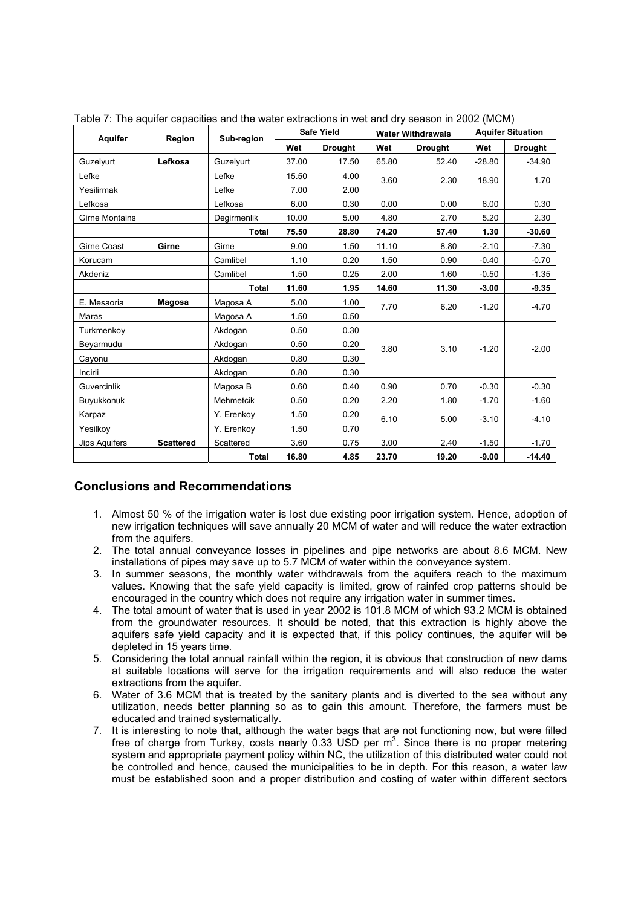| Aquifer               | Region           | Sub-region   |       | <b>Safe Yield</b> |       | <b>Water Withdrawals</b> | <b>Aquifer Situation</b> |                |  |
|-----------------------|------------------|--------------|-------|-------------------|-------|--------------------------|--------------------------|----------------|--|
|                       |                  |              | Wet   | <b>Drought</b>    | Wet   | <b>Drought</b>           | Wet                      | <b>Drought</b> |  |
| Guzelyurt             | Lefkosa          | Guzelyurt    | 37.00 | 17.50             | 65.80 | 52.40                    | $-28.80$                 | $-34.90$       |  |
| Lefke                 |                  | Lefke        | 15.50 | 4.00              | 3.60  | 2.30                     | 18.90                    | 1.70           |  |
| Yesilirmak            |                  | Lefke        | 7.00  | 2.00              |       |                          |                          |                |  |
| Lefkosa               |                  | Lefkosa      | 6.00  | 0.30              | 0.00  | 0.00                     | 6.00                     | 0.30           |  |
| <b>Girne Montains</b> |                  | Degirmenlik  | 10.00 | 5.00              | 4.80  | 2.70                     | 5.20                     | 2.30           |  |
|                       |                  | <b>Total</b> | 75.50 | 28.80             | 74.20 | 57.40                    | 1.30                     | $-30.60$       |  |
| Girne Coast           | Girne            | Girne        | 9.00  | 1.50              | 11.10 | 8.80                     | $-2.10$                  | $-7.30$        |  |
| Korucam               |                  | Camlibel     | 1.10  | 0.20              | 1.50  | 0.90                     | $-0.40$                  | $-0.70$        |  |
| Akdeniz               |                  | Camlibel     | 1.50  | 0.25              | 2.00  | 1.60                     | $-0.50$                  | $-1.35$        |  |
|                       |                  | Total        | 11.60 | 1.95              | 14.60 | 11.30                    | $-3.00$                  | $-9.35$        |  |
| E. Mesaoria           | Magosa           | Magosa A     | 5.00  | 1.00              | 7.70  | 6.20                     | $-1.20$                  | $-4.70$        |  |
| Maras                 |                  | Magosa A     | 1.50  | 0.50              |       |                          |                          |                |  |
| Turkmenkoy            |                  | Akdogan      | 0.50  | 0.30              |       |                          |                          |                |  |
| Beyarmudu             |                  | Akdogan      | 0.50  | 0.20              | 3.80  | 3.10                     | $-1.20$                  | $-2.00$        |  |
| Cayonu                |                  | Akdogan      | 0.80  | 0.30              |       |                          |                          |                |  |
| Incirli               |                  | Akdogan      | 0.80  | 0.30              |       |                          |                          |                |  |
| Guvercinlik           |                  | Magosa B     | 0.60  | 0.40              | 0.90  | 0.70                     | $-0.30$                  | $-0.30$        |  |
| Buyukkonuk            |                  | Mehmetcik    | 0.50  | 0.20              | 2.20  | 1.80                     | $-1.70$                  | $-1.60$        |  |
| Karpaz                |                  | Y. Erenkoy   | 1.50  | 0.20              | 6.10  | 5.00                     | $-3.10$                  | $-4.10$        |  |
| Yesilkov              |                  | Y. Erenkov   | 1.50  | 0.70              |       |                          |                          |                |  |
| Jips Aquifers         | <b>Scattered</b> | Scattered    | 3.60  | 0.75              | 3.00  | 2.40                     | $-1.50$                  | $-1.70$        |  |
|                       |                  | Total        | 16.80 | 4.85              | 23.70 | 19.20                    | $-9.00$                  | $-14.40$       |  |

Table 7: The aquifer capacities and the water extractions in wet and dry season in 2002 (MCM)

# **Conclusions and Recommendations**

- 1. Almost 50 % of the irrigation water is lost due existing poor irrigation system. Hence, adoption of new irrigation techniques will save annually 20 MCM of water and will reduce the water extraction from the aquifers.
- 2. The total annual conveyance losses in pipelines and pipe networks are about 8.6 MCM. New installations of pipes may save up to 5.7 MCM of water within the conveyance system.
- 3. In summer seasons, the monthly water withdrawals from the aquifers reach to the maximum values. Knowing that the safe yield capacity is limited, grow of rainfed crop patterns should be encouraged in the country which does not require any irrigation water in summer times.
- 4. The total amount of water that is used in year 2002 is 101.8 MCM of which 93.2 MCM is obtained from the groundwater resources. It should be noted, that this extraction is highly above the aquifers safe yield capacity and it is expected that, if this policy continues, the aquifer will be depleted in 15 years time.
- 5. Considering the total annual rainfall within the region, it is obvious that construction of new dams at suitable locations will serve for the irrigation requirements and will also reduce the water extractions from the aquifer.
- 6. Water of 3.6 MCM that is treated by the sanitary plants and is diverted to the sea without any utilization, needs better planning so as to gain this amount. Therefore, the farmers must be educated and trained systematically.
- 7. It is interesting to note that, although the water bags that are not functioning now, but were filled free of charge from Turkey, costs nearly 0.33 USD per  $m<sup>3</sup>$ . Since there is no proper metering system and appropriate payment policy within NC, the utilization of this distributed water could not be controlled and hence, caused the municipalities to be in depth. For this reason, a water law must be established soon and a proper distribution and costing of water within different sectors